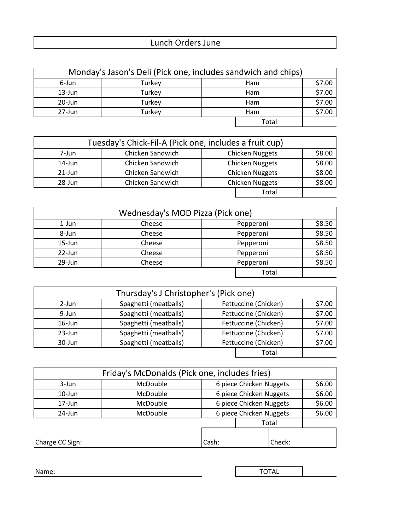## Lunch Orders June

| Monday's Jason's Deli (Pick one, includes sandwich and chips) |        |            |            |        |
|---------------------------------------------------------------|--------|------------|------------|--------|
| 6-Jun                                                         | Turkey |            | <b>Ham</b> | \$7.00 |
| $13$ -Jun                                                     | Turkey | Ham        |            | \$7.00 |
| 20-Jun                                                        | Turkey | <b>Ham</b> |            | \$7.00 |
| 27-Jun                                                        | Turkey | <b>Ham</b> |            | \$7.00 |
|                                                               |        |            | Total      |        |

| Tuesday's Chick-Fil-A (Pick one, includes a fruit cup) |                  |                        |                        |        |
|--------------------------------------------------------|------------------|------------------------|------------------------|--------|
| 7-Jun                                                  | Chicken Sandwich |                        | <b>Chicken Nuggets</b> | \$8.00 |
| 14-Jun                                                 | Chicken Sandwich | <b>Chicken Nuggets</b> | \$8.00                 |        |
| $21$ -Jun                                              | Chicken Sandwich | <b>Chicken Nuggets</b> |                        | \$8.00 |
| 28-Jun                                                 | Chicken Sandwich | <b>Chicken Nuggets</b> |                        | \$8.00 |
|                                                        |                  |                        | Total                  |        |

| Wednesday's MOD Pizza (Pick one) |        |  |           |        |
|----------------------------------|--------|--|-----------|--------|
| 1-Jun                            | Cheese |  | Pepperoni | \$8.50 |
| 8-Jun                            | Cheese |  | Pepperoni | \$8.50 |
| $15$ -Jun                        | Cheese |  | Pepperoni | \$8.50 |
| 22-Jun                           | Cheese |  | Pepperoni | \$8.50 |
| 29-Jun                           | Cheese |  | Pepperoni | \$8.50 |
|                                  |        |  | Total     |        |

| Thursday's J Christopher's (Pick one) |                       |                      |        |        |
|---------------------------------------|-----------------------|----------------------|--------|--------|
| $2$ -Jun                              | Spaghetti (meatballs) | Fettuccine (Chicken) | \$7.00 |        |
| $9$ -Jun                              | Spaghetti (meatballs) | Fettuccine (Chicken) | \$7.00 |        |
| $16$ -Jun                             | Spaghetti (meatballs) | Fettuccine (Chicken) |        | \$7.00 |
| $23$ -Jun                             | Spaghetti (meatballs) | Fettuccine (Chicken) |        | \$7.00 |
| $30 - Jun$                            | Spaghetti (meatballs) | Fettuccine (Chicken) |        | \$7.00 |
|                                       |                       |                      | Total  |        |

| Friday's McDonalds (Pick one, includes fries) |          |       |                         |  |  |
|-----------------------------------------------|----------|-------|-------------------------|--|--|
| 3-Jun                                         | McDouble |       | 6 piece Chicken Nuggets |  |  |
| $10$ -Jun                                     | McDouble |       | 6 piece Chicken Nuggets |  |  |
| $17 - Jun$                                    | McDouble |       | 6 piece Chicken Nuggets |  |  |
| 24-Jun                                        | McDouble |       | 6 piece Chicken Nuggets |  |  |
|                                               |          |       | Total                   |  |  |
|                                               |          |       |                         |  |  |
| Charge CC Sign:                               |          | Cash: | Check:                  |  |  |